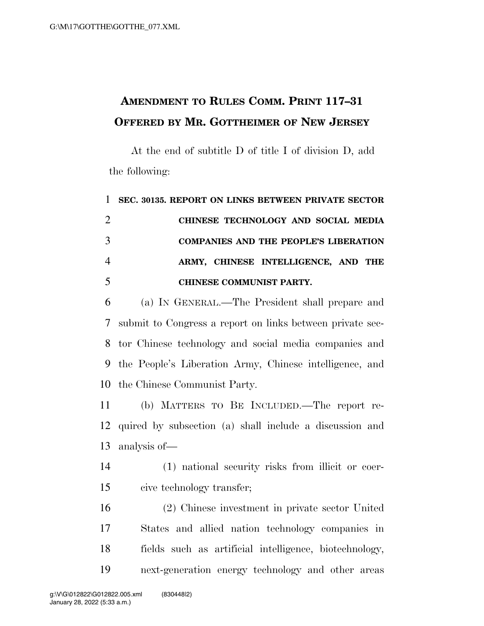## **AMENDMENT TO RULES COMM. PRINT 117–31 OFFERED BY MR. GOTTHEIMER OF NEW JERSEY**

At the end of subtitle D of title I of division D, add the following:

## **SEC. 30135. REPORT ON LINKS BETWEEN PRIVATE SECTOR CHINESE TECHNOLOGY AND SOCIAL MEDIA COMPANIES AND THE PEOPLE'S LIBERATION ARMY, CHINESE INTELLIGENCE, AND THE CHINESE COMMUNIST PARTY.**

 (a) IN GENERAL.—The President shall prepare and submit to Congress a report on links between private sec- tor Chinese technology and social media companies and the People's Liberation Army, Chinese intelligence, and the Chinese Communist Party.

 (b) MATTERS TO BE INCLUDED.—The report re- quired by subsection (a) shall include a discussion and analysis of—

 (1) national security risks from illicit or coer-cive technology transfer;

 (2) Chinese investment in private sector United States and allied nation technology companies in fields such as artificial intelligence, biotechnology, next-generation energy technology and other areas